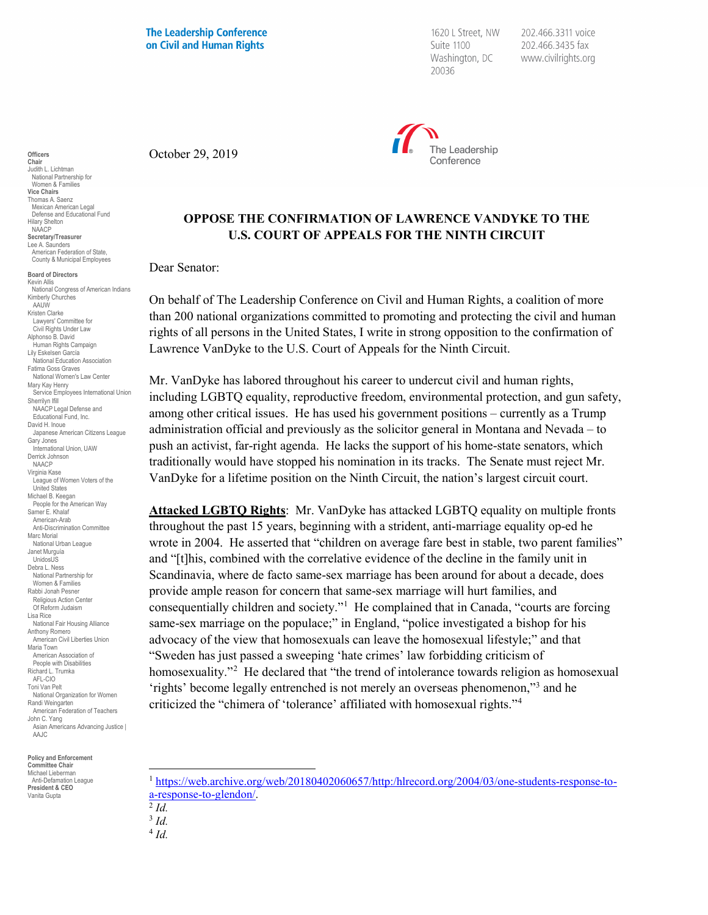**The Leadership Conference** on Civil and Human Rights

1620 L Street, NW Suite 1100 Washington, DC 20036

202.466.3311 voice 202.466.3435 fax www.civilrights.org



October 29, 2019

## **OPPOSE THE CONFIRMATION OF LAWRENCE VANDYKE TO THE U.S. COURT OF APPEALS FOR THE NINTH CIRCUIT**

Dear Senator:

On behalf of The Leadership Conference on Civil and Human Rights, a coalition of more than 200 national organizations committed to promoting and protecting the civil and human rights of all persons in the United States, I write in strong opposition to the confirmation of Lawrence VanDyke to the U.S. Court of Appeals for the Ninth Circuit.

Mr. VanDyke has labored throughout his career to undercut civil and human rights, including LGBTQ equality, reproductive freedom, environmental protection, and gun safety, among other critical issues. He has used his government positions – currently as a Trump administration official and previously as the solicitor general in Montana and Nevada – to push an activist, far-right agenda. He lacks the support of his home-state senators, which traditionally would have stopped his nomination in its tracks. The Senate must reject Mr. VanDyke for a lifetime position on the Ninth Circuit, the nation's largest circuit court.

**Attacked LGBTQ Rights**: Mr. VanDyke has attacked LGBTQ equality on multiple fronts throughout the past 15 years, beginning with a strident, anti-marriage equality op-ed he wrote in 2004. He asserted that "children on average fare best in stable, two parent families" and "[t]his, combined with the correlative evidence of the decline in the family unit in Scandinavia, where de facto same-sex marriage has been around for about a decade, does provide ample reason for concern that same-sex marriage will hurt families, and consequentially children and society."<sup>1</sup> He complained that in Canada, "courts are forcing same-sex marriage on the populace;" in England, "police investigated a bishop for his advocacy of the view that homosexuals can leave the homosexual lifestyle;" and that "Sweden has just passed a sweeping 'hate crimes' law forbidding criticism of homosexuality."[2](#page-0-1) He declared that "the trend of intolerance towards religion as homosexual 'rights' become legally entrenched is not merely an overseas phenomenon,"[3](#page-0-2) and he criticized the "chimera of 'tolerance' affiliated with homosexual rights."[4](#page-0-3)

<span id="page-0-3"></span><span id="page-0-2"></span><span id="page-0-1"></span><span id="page-0-0"></span>**Policy and Enforcement Committee Chair** Michael Lieberman<br>Anti-Defamation League Anti-Defam **President & CEO** Vanita Gupta

**Officers Chair** Judith L. Lichtman National Partnership for Women & Families **Vice Chairs** Thomas A. Saenz

Hilary Shelton NAACP **Secretary/Treasurer** Lee A. Saunders

**Board of Directors** Kevin Allis

Kimberly Churches AAUW Kristen Clarke Lawyers' Committee for Civil Rights Under Law Alphonso B. David Human Rights Campaign Lily Eskelsen García National Education Association Fatima Goss Graves National Women's Law Center

Mary Kay Henry

Sherrilyn Ifill

Gary Jones

United States Michael B. Keegan People for the American Way Samer E. Khalaf American-Arab Anti-Discrimination Committee

Marc Morial National Urban League Janet Murguía UnidosUS Debra L. Ness National Partnership for Women & Families Rabbi Jonah Pesner Religious Action Center Of Reform Judaism

Lisa Rice

Maria Town

John C. Yang

AAJC

Mexican American Legal Defense and Educational Fund

American Federation of State, County & Municipal Employees

National Congress of American Indians

Service Employees International Union

Japanese American Citizens League

NAACP Legal Defense and Educational Fund, Inc. David H. Inoue

International Union, UAW Derrick Johnson NAACP Virginia Kase

League of Women Voters of the

National Fair Housing Alliance Anthony Romero American Civil Liberties Union

American Association of People with Disabilities Richard L. Trumka AFL-CIO Toni Van Pelt

National Organization for Women Randi Weingarten American Federation of Teachers

Asian Americans Advancing Justice |

<sup>4</sup> *Id.*

 <sup>1</sup> [https://web.archive.org/web/20180402060657/http:/hlrecord.org/2004/03/one-students-response-to](https://web.archive.org/web/20180402060657/http:/hlrecord.org/2004/03/one-students-response-to-a-response-to-glendon/)[a-response-to-glendon/.](https://web.archive.org/web/20180402060657/http:/hlrecord.org/2004/03/one-students-response-to-a-response-to-glendon/) 2 *Id.*

<sup>3</sup> *Id.*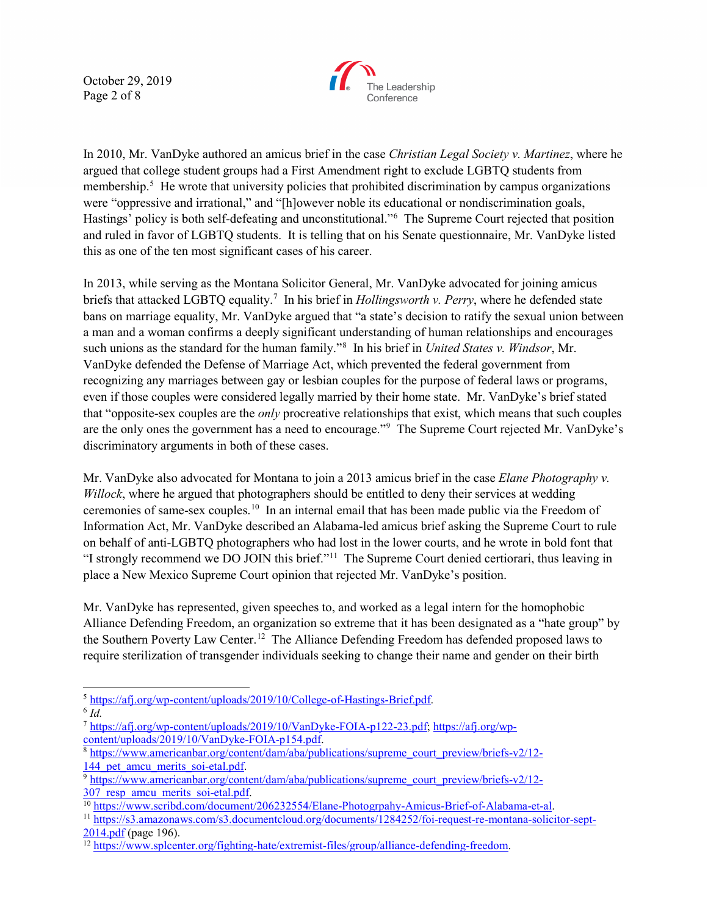October 29, 2019 Page 2 of 8



In 2010, Mr. VanDyke authored an amicus brief in the case *Christian Legal Society v. Martinez*, where he argued that college student groups had a First Amendment right to exclude LGBTQ students from membership. [5](#page-1-0) He wrote that university policies that prohibited discrimination by campus organizations were "oppressive and irrational," and "[h]owever noble its educational or nondiscrimination goals, Hastings' policy is both self-defeating and unconstitutional."[6](#page-1-1) The Supreme Court rejected that position and ruled in favor of LGBTQ students. It is telling that on his Senate questionnaire, Mr. VanDyke listed this as one of the ten most significant cases of his career.

In 2013, while serving as the Montana Solicitor General, Mr. VanDyke advocated for joining amicus briefs that attacked LGBTQ equality.<sup>[7](#page-1-2)</sup> In his brief in *Hollingsworth v. Perry*, where he defended state bans on marriage equality, Mr. VanDyke argued that "a state's decision to ratify the sexual union between a man and a woman confirms a deeply significant understanding of human relationships and encourages such unions as the standard for the human family."[8](#page-1-3) In his brief in *United States v. Windsor*, Mr. VanDyke defended the Defense of Marriage Act, which prevented the federal government from recognizing any marriages between gay or lesbian couples for the purpose of federal laws or programs, even if those couples were considered legally married by their home state. Mr. VanDyke's brief stated that "opposite-sex couples are the *only* procreative relationships that exist, which means that such couples are the only ones the government has a need to encourage."<sup>[9](#page-1-4)</sup> The Supreme Court rejected Mr. VanDyke's discriminatory arguments in both of these cases.

Mr. VanDyke also advocated for Montana to join a 2013 amicus brief in the case *Elane Photography v. Willock*, where he argued that photographers should be entitled to deny their services at wedding ceremonies of same-sex couples.[10](#page-1-5) In an internal email that has been made public via the Freedom of Information Act, Mr. VanDyke described an Alabama-led amicus brief asking the Supreme Court to rule on behalf of anti-LGBTQ photographers who had lost in the lower courts, and he wrote in bold font that "I strongly recommend we DO JOIN this brief."[11](#page-1-6) The Supreme Court denied certiorari, thus leaving in place a New Mexico Supreme Court opinion that rejected Mr. VanDyke's position.

Mr. VanDyke has represented, given speeches to, and worked as a legal intern for the homophobic Alliance Defending Freedom, an organization so extreme that it has been designated as a "hate group" by the Southern Poverty Law Center.[12](#page-1-7) The Alliance Defending Freedom has defended proposed laws to require sterilization of transgender individuals seeking to change their name and gender on their birth

<span id="page-1-0"></span><sup>5</sup> [https://afj.org/wp-content/uploads/2019/10/College-of-Hastings-Brief.pdf.](https://afj.org/wp-content/uploads/2019/10/College-of-Hastings-Brief.pdf) 6 *Id.*

<span id="page-1-2"></span><span id="page-1-1"></span><sup>7</sup> [https://afj.org/wp-content/uploads/2019/10/VanDyke-FOIA-p122-23.pdf;](https://afj.org/wp-content/uploads/2019/10/VanDyke-FOIA-p122-23.pdf) [https://afj.org/wp-](https://afj.org/wp-content/uploads/2019/10/VanDyke-FOIA-p154.pdf)

<span id="page-1-3"></span> $8$  [https://www.americanbar.org/content/dam/aba/publications/supreme\\_court\\_preview/briefs-v2/12-](https://www.americanbar.org/content/dam/aba/publications/supreme_court_preview/briefs-v2/12-144_pet_amcu_merits_soi-etal.pdf)

<span id="page-1-4"></span>[<sup>144</sup>\\_pet\\_amcu\\_merits\\_soi-etal.pdf.](https://www.americanbar.org/content/dam/aba/publications/supreme_court_preview/briefs-v2/12-144_pet_amcu_merits_soi-etal.pdf)<br>
9 [https://www.americanbar.org/content/dam/aba/publications/supreme\\_court\\_preview/briefs-v2/12-](https://www.americanbar.org/content/dam/aba/publications/supreme_court_preview/briefs-v2/12-307_resp_amcu_merits_soi-etal.pdf)<br>
307 resp amcu merits soi-etal.pdf.

<span id="page-1-6"></span><span id="page-1-5"></span>

<sup>&</sup>lt;sup>10</sup> https://www.scribd.com/document/206232554/Elane-Photogrpahy-Amicus-Brief-of-Alabama-et-al.<br>
<sup>11</sup> https://s3.amazonaws.com/s3.documentcloud.org/documents/1284252/foi-request-re-montana-solicitor-sept-<br>
2014.pdf (page 1

<span id="page-1-7"></span><sup>&</sup>lt;sup>[12](https://s3.amazonaws.com/s3.documentcloud.org/documents/1284252/foi-request-re-montana-solicitor-sept-2014.pdf)</sup> https://www.sp<u>lcenter.org/fighting-hate/extremist-files/group/alliance-defending-freedom</u>.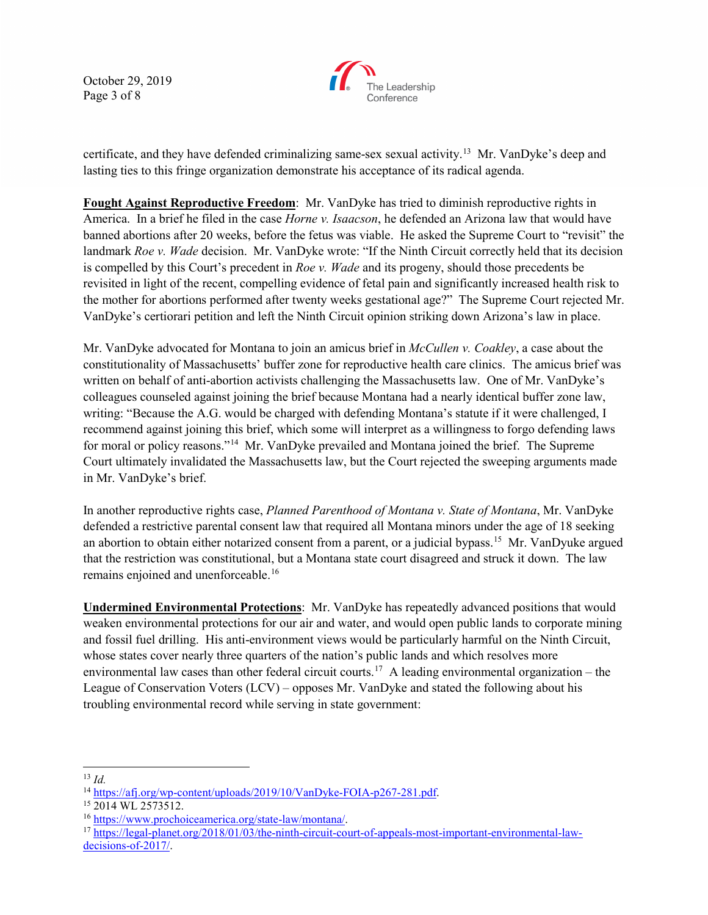October 29, 2019 Page 3 of 8



certificate, and they have defended criminalizing same-sex sexual activity.[13](#page-2-0) Mr. VanDyke's deep and lasting ties to this fringe organization demonstrate his acceptance of its radical agenda.

**Fought Against Reproductive Freedom**: Mr. VanDyke has tried to diminish reproductive rights in America. In a brief he filed in the case *Horne v. Isaacson*, he defended an Arizona law that would have banned abortions after 20 weeks, before the fetus was viable. He asked the Supreme Court to "revisit" the landmark *Roe v. Wade* decision. Mr. VanDyke wrote: "If the Ninth Circuit correctly held that its decision is compelled by this Court's precedent in *Roe v. Wade* and its progeny, should those precedents be revisited in light of the recent, compelling evidence of fetal pain and significantly increased health risk to the mother for abortions performed after twenty weeks gestational age?" The Supreme Court rejected Mr. VanDyke's certiorari petition and left the Ninth Circuit opinion striking down Arizona's law in place.

Mr. VanDyke advocated for Montana to join an amicus brief in *McCullen v. Coakley*, a case about the constitutionality of Massachusetts' buffer zone for reproductive health care clinics. The amicus brief was written on behalf of anti-abortion activists challenging the Massachusetts law. One of Mr. VanDyke's colleagues counseled against joining the brief because Montana had a nearly identical buffer zone law, writing: "Because the A.G. would be charged with defending Montana's statute if it were challenged, I recommend against joining this brief, which some will interpret as a willingness to forgo defending laws for moral or policy reasons."<sup>[14](#page-2-1)</sup> Mr. VanDyke prevailed and Montana joined the brief. The Supreme Court ultimately invalidated the Massachusetts law, but the Court rejected the sweeping arguments made in Mr. VanDyke's brief.

In another reproductive rights case, *Planned Parenthood of Montana v. State of Montana*, Mr. VanDyke defended a restrictive parental consent law that required all Montana minors under the age of 18 seeking an abortion to obtain either notarized consent from a parent, or a judicial bypass.<sup>[15](#page-2-2)</sup> Mr. VanDyuke argued that the restriction was constitutional, but a Montana state court disagreed and struck it down. The law remains enjoined and unenforceable.<sup>16</sup>

**Undermined Environmental Protections**: Mr. VanDyke has repeatedly advanced positions that would weaken environmental protections for our air and water, and would open public lands to corporate mining and fossil fuel drilling. His anti-environment views would be particularly harmful on the Ninth Circuit, whose states cover nearly three quarters of the nation's public lands and which resolves more environmental law cases than other federal circuit courts.<sup>[17](#page-2-4)</sup> A leading environmental organization – the League of Conservation Voters (LCV) – opposes Mr. VanDyke and stated the following about his troubling environmental record while serving in state government:

<span id="page-2-0"></span>13 *Id.*

<span id="page-2-1"></span><sup>&</sup>lt;sup>14</sup> [https://afj.org/wp-content/uploads/2019/10/VanDyke-FOIA-p267-281.pdf.](https://afj.org/wp-content/uploads/2019/10/VanDyke-FOIA-p267-281.pdf)<br><sup>15</sup> 2014 WL 2573512.<br><sup>16</sup> https://www.prochoiceamerica.org/state-law/montana/.

<span id="page-2-2"></span>

<span id="page-2-3"></span>

<span id="page-2-4"></span> $17$  [https://legal-planet.org/2018/01/03/the-ninth-circuit-court-of-appeals-most-important-environmental-law](https://legal-planet.org/2018/01/03/the-ninth-circuit-court-of-appeals-most-important-environmental-law-decisions-of-2017/)[decisions-of-2017/.](https://legal-planet.org/2018/01/03/the-ninth-circuit-court-of-appeals-most-important-environmental-law-decisions-of-2017/)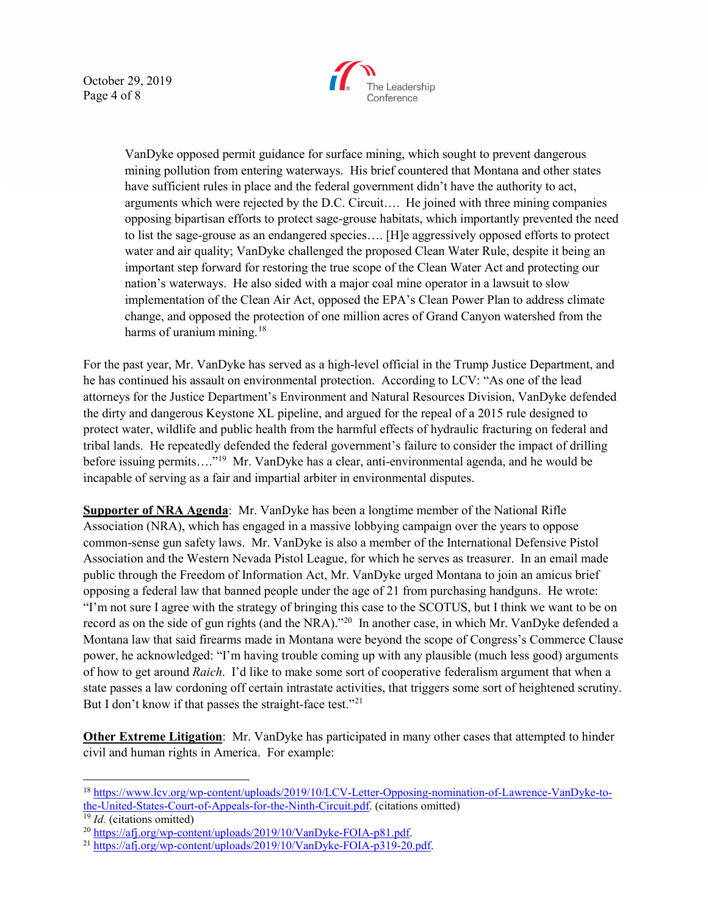October 29, 2019 Page 4 of 8



VanDyke opposed permit guidance for surface mining, which sought to prevent dangerous mining pollution from entering waterways. His brief countered that Montana and other states have sufficient rules in place and the federal government didn't have the authority to act, arguments which were rejected by the D.C. Circuit…. He joined with three mining companies opposing bipartisan efforts to protect sage-grouse habitats, which importantly prevented the need to list the sage-grouse as an endangered species…. [H]e aggressively opposed efforts to protect water and air quality; VanDyke challenged the proposed Clean Water Rule, despite it being an important step forward for restoring the true scope of the Clean Water Act and protecting our nation's waterways. He also sided with a major coal mine operator in a lawsuit to slow implementation of the Clean Air Act, opposed the EPA's Clean Power Plan to address climate change, and opposed the protection of one million acres of Grand Canyon watershed from the harms of uranium mining.<sup>[18](#page-3-0)</sup>

For the past year, Mr. VanDyke has served as a high-level official in the Trump Justice Department, and he has continued his assault on environmental protection. According to LCV: "As one of the lead attorneys for the Justice Department's Environment and Natural Resources Division, VanDyke defended the dirty and dangerous Keystone XL pipeline, and argued for the repeal of a 2015 rule designed to protect water, wildlife and public health from the harmful effects of hydraulic fracturing on federal and tribal lands. He repeatedly defended the federal government's failure to consider the impact of drilling before issuing permits...."<sup>[19](#page-3-1)</sup> Mr. VanDyke has a clear, anti-environmental agenda, and he would be incapable of serving as a fair and impartial arbiter in environmental disputes.

**Supporter of NRA Agenda**: Mr. VanDyke has been a longtime member of the National Rifle Association (NRA), which has engaged in a massive lobbying campaign over the years to oppose common-sense gun safety laws. Mr. VanDyke is also a member of the International Defensive Pistol Association and the Western Nevada Pistol League, for which he serves as treasurer. In an email made public through the Freedom of Information Act, Mr. VanDyke urged Montana to join an amicus brief opposing a federal law that banned people under the age of 21 from purchasing handguns. He wrote: "I'm not sure I agree with the strategy of bringing this case to the SCOTUS, but I think we want to be on record as on the side of gun rights (and the NRA)."[20](#page-3-2) In another case, in which Mr. VanDyke defended a Montana law that said firearms made in Montana were beyond the scope of Congress's Commerce Clause power, he acknowledged: "I'm having trouble coming up with any plausible (much less good) arguments of how to get around *Raich*. I'd like to make some sort of cooperative federalism argument that when a state passes a law cordoning off certain intrastate activities, that triggers some sort of heightened scrutiny. But I don't know if that passes the straight-face test."<sup>[21](#page-3-3)</sup>

**Other Extreme Litigation**: Mr. VanDyke has participated in many other cases that attempted to hinder civil and human rights in America. For example:

<span id="page-3-0"></span> <sup>18</sup> [https://www.lcv.org/wp-content/uploads/2019/10/LCV-Letter-Opposing-nomination-of-Lawrence-VanDyke-to](https://www.lcv.org/wp-content/uploads/2019/10/LCV-Letter-Opposing-nomination-of-Lawrence-VanDyke-to-the-United-States-Court-of-Appeals-for-the-Ninth-Circuit.pdf)[the-United-States-Court-of-Appeals-for-the-Ninth-Circuit.pdf.](https://www.lcv.org/wp-content/uploads/2019/10/LCV-Letter-Opposing-nomination-of-Lawrence-VanDyke-to-the-United-States-Court-of-Appeals-for-the-Ninth-Circuit.pdf) (citations omitted)

<span id="page-3-2"></span><span id="page-3-1"></span><sup>&</sup>lt;sup>19</sup> *Id.* (citations omitted)<br><sup>20</sup> https://afj.org/wp-content/uploads/2019/10/VanDyke-FOIA-p81.pdf.

<span id="page-3-3"></span> $^{21}$  [https://afj.org/wp-content/uploads/2019/10/VanDyke-FOIA-p319-20.pdf.](https://afj.org/wp-content/uploads/2019/10/VanDyke-FOIA-p319-20.pdf)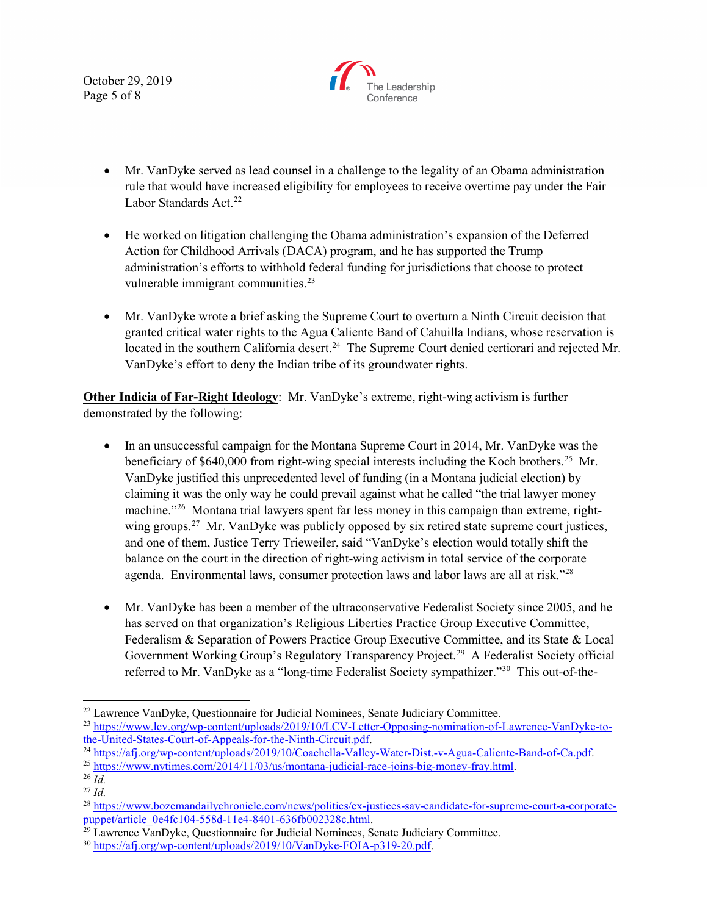October 29, 2019 Page 5 of 8



- Mr. VanDyke served as lead counsel in a challenge to the legality of an Obama administration rule that would have increased eligibility for employees to receive overtime pay under the Fair Labor Standards Act.<sup>[22](#page-4-0)</sup>
- He worked on litigation challenging the Obama administration's expansion of the Deferred Action for Childhood Arrivals (DACA) program, and he has supported the Trump administration's efforts to withhold federal funding for jurisdictions that choose to protect vulnerable immigrant communities.<sup>23</sup>
- Mr. VanDyke wrote a brief asking the Supreme Court to overturn a Ninth Circuit decision that granted critical water rights to the Agua Caliente Band of Cahuilla Indians, whose reservation is located in the southern California desert.<sup>[24](#page-4-2)</sup> The Supreme Court denied certiorari and rejected Mr. VanDyke's effort to deny the Indian tribe of its groundwater rights.

**Other Indicia of Far-Right Ideology**: Mr. VanDyke's extreme, right-wing activism is further demonstrated by the following:

- In an unsuccessful campaign for the Montana Supreme Court in 2014, Mr. VanDyke was the beneficiary of  $$640,000$  from right-wing special interests including the Koch brothers.<sup>[25](#page-4-3)</sup> Mr. VanDyke justified this unprecedented level of funding (in a Montana judicial election) by claiming it was the only way he could prevail against what he called "the trial lawyer money machine."<sup>[26](#page-4-4)</sup> Montana trial lawyers spent far less money in this campaign than extreme, rightwing groups.<sup>27</sup> Mr. VanDyke was publicly opposed by six retired state supreme court justices, and one of them, Justice Terry Trieweiler, said "VanDyke's election would totally shift the balance on the court in the direction of right-wing activism in total service of the corporate agenda. Environmental laws, consumer protection laws and labor laws are all at risk." $^{28}$  $^{28}$  $^{28}$
- Mr. VanDyke has been a member of the ultraconservative Federalist Society since 2005, and he has served on that organization's Religious Liberties Practice Group Executive Committee, Federalism & Separation of Powers Practice Group Executive Committee, and its State & Local Government Working Group's Regulatory Transparency Project.<sup>[29](#page-4-7)</sup> A Federalist Society official referred to Mr. VanDyke as a "long-time Federalist Society sympathizer."<sup>[30](#page-4-8)</sup> This out-of-the-

<span id="page-4-0"></span><sup>&</sup>lt;sup>22</sup> Lawrence VanDyke, Questionnaire for Judicial Nominees, Senate Judiciary Committee.

<span id="page-4-1"></span><sup>&</sup>lt;sup>23</sup> https://www.lcv.org/wp-content/uploads/2019/10/LCV-Letter-Opposing-nomination-of-Lawrence-VanDyke-to-<br>the-United-States-Court-of-Appeals-for-the-Ninth-Circuit.pdf.

<span id="page-4-2"></span> $\frac{1}{24}$  [https://afj.org/wp-content/uploads/2019/10/Coachella-Valley-Water-Dist.-v-Agua-Caliente-Band-of-Ca.pdf.](https://afj.org/wp-content/uploads/2019/10/Coachella-Valley-Water-Dist.-v-Agua-Caliente-Band-of-Ca.pdf)<br>
25 https://www.nytimes.com/2014/11/03/us/montana-judicial-race-joins-big-money-fray.html.<br>
26 *Id.* 

<span id="page-4-3"></span>

<span id="page-4-4"></span>

<span id="page-4-5"></span><sup>27</sup> *Id.*

<span id="page-4-6"></span><sup>&</sup>lt;sup>28</sup> https://www.bozemandailychronicle.com/news/politics/ex-justices-say-candidate-for-supreme-court-a-corporate-<br>puppet/article 0e4fc104-558d-11e4-8401-636fb002328c.html.

<span id="page-4-7"></span> $\frac{1}{29}$  Lawrence VanDyke, Questionnaire for Judicial Nominees, Senate Judiciary Committee.

<span id="page-4-8"></span><sup>30</sup> [https://afj.org/wp-content/uploads/2019/10/VanDyke-FOIA-p319-20.pdf.](https://afj.org/wp-content/uploads/2019/10/VanDyke-FOIA-p319-20.pdf)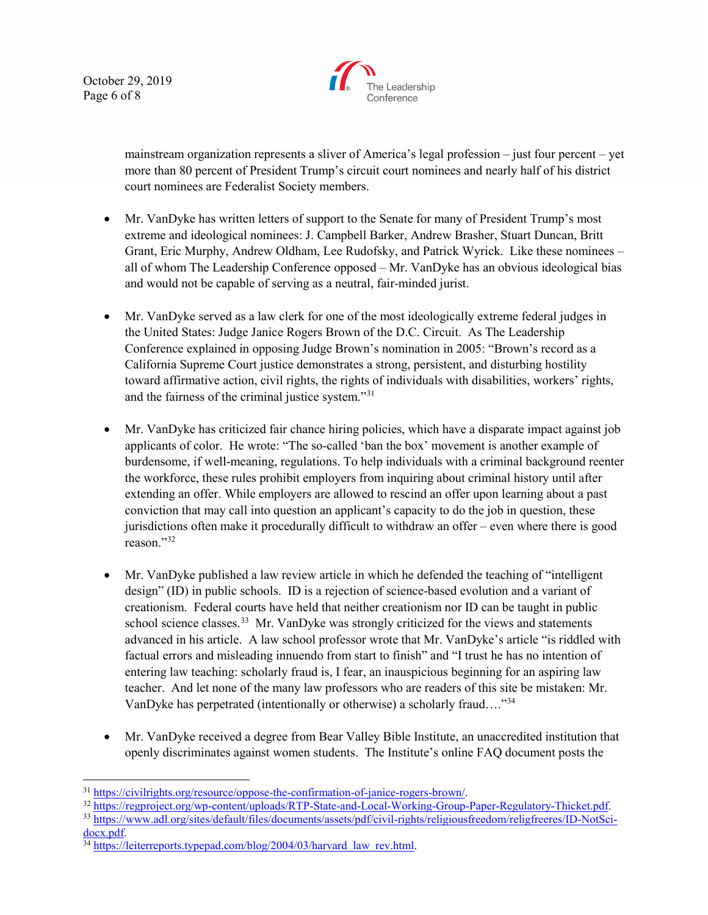October 29, 2019 Page 6 of 8



mainstream organization represents a sliver of America's legal profession – just four percent – yet more than 80 percent of President Trump's circuit court nominees and nearly half of his district court nominees are Federalist Society members.

- Mr. VanDyke has written letters of support to the Senate for many of President Trump's most extreme and ideological nominees: J. Campbell Barker, Andrew Brasher, Stuart Duncan, Britt Grant, Eric Murphy, Andrew Oldham, Lee Rudofsky, and Patrick Wyrick. Like these nominees – all of whom The Leadership Conference opposed – Mr. VanDyke has an obvious ideological bias and would not be capable of serving as a neutral, fair-minded jurist.
- Mr. VanDyke served as a law clerk for one of the most ideologically extreme federal judges in the United States: Judge Janice Rogers Brown of the D.C. Circuit. As The Leadership Conference explained in opposing Judge Brown's nomination in 2005: "Brown's record as a California Supreme Court justice demonstrates a strong, persistent, and disturbing hostility toward affirmative action, civil rights, the rights of individuals with disabilities, workers' rights, and the fairness of the criminal justice system."[31](#page-5-0)
- Mr. VanDyke has criticized fair chance hiring policies, which have a disparate impact against job applicants of color. He wrote: "The so-called 'ban the box' movement is another example of burdensome, if well-meaning, regulations. To help individuals with a criminal background reenter the workforce, these rules prohibit employers from inquiring about criminal history until after extending an offer. While employers are allowed to rescind an offer upon learning about a past conviction that may call into question an applicant's capacity to do the job in question, these jurisdictions often make it procedurally difficult to withdraw an offer – even where there is good reason."[32](#page-5-1)
- Mr. VanDyke published a law review article in which he defended the teaching of "intelligent" design" (ID) in public schools. ID is a rejection of science-based evolution and a variant of creationism. Federal courts have held that neither creationism nor ID can be taught in public school science classes.<sup>[33](#page-5-2)</sup> Mr. VanDyke was strongly criticized for the views and statements advanced in his article. A law school professor wrote that Mr. VanDyke's article "is riddled with factual errors and misleading innuendo from start to finish" and "I trust he has no intention of entering law teaching: scholarly fraud is, I fear, an inauspicious beginning for an aspiring law teacher. And let none of the many law professors who are readers of this site be mistaken: Mr. VanDyke has perpetrated (intentionally or otherwise) a scholarly fraud…."[34](#page-5-3)
- Mr. VanDyke received a degree from Bear Valley Bible Institute, an unaccredited institution that openly discriminates against women students. The Institute's online FAQ document posts the

- <span id="page-5-2"></span>
- <span id="page-5-1"></span><span id="page-5-0"></span><sup>31</sup> https://civilrights.org/resource/oppose-the-confirmation-of-janice-rogers-brown/<br><sup>32</sup> https://regproject.org/wp-content/uploads/RTP-State-and-Local-Working-Group-Paper-Regulatory-Thicket.pdf<br><sup>33</sup> https://www.adl.org/s

<span id="page-5-3"></span><sup>&</sup>lt;sup>34</sup> https://leiterreports.typepad.com/blog/2004/03/harvard\_law\_rev.html.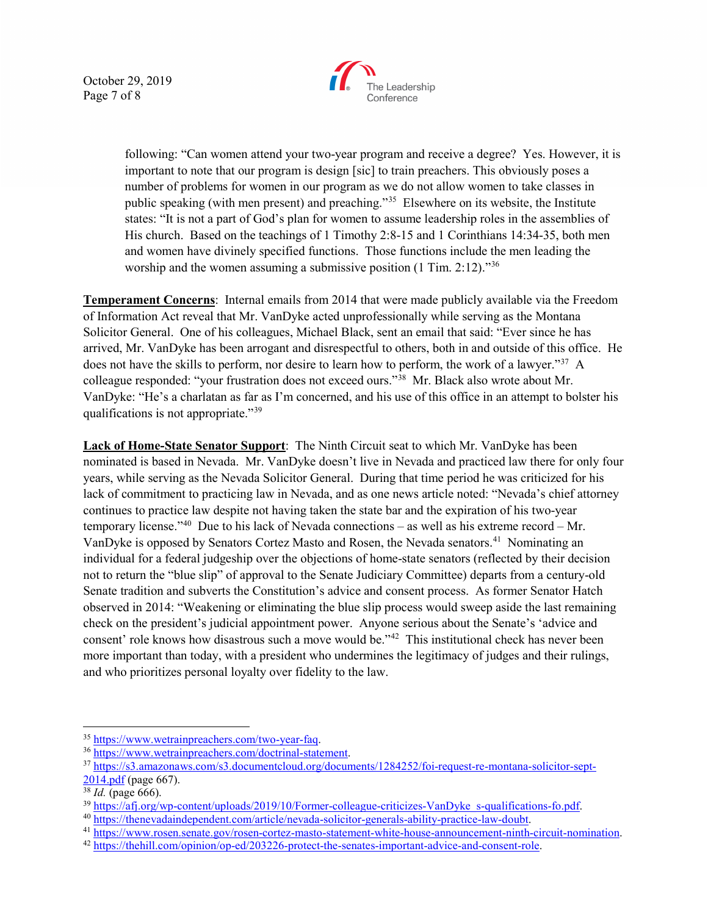October 29, 2019 Page 7 of 8



following: "Can women attend your two-year program and receive a degree? Yes. However, it is important to note that our program is design [sic] to train preachers. This obviously poses a number of problems for women in our program as we do not allow women to take classes in public speaking (with men present) and preaching."[35](#page-6-0) Elsewhere on its website, the Institute states: "It is not a part of God's plan for women to assume leadership roles in the assemblies of His church. Based on the teachings of 1 Timothy 2:8-15 and 1 Corinthians 14:34-35, both men and women have divinely specified functions. Those functions include the men leading the worship and the women assuming a submissive position (1 Tim. 2:12)."<sup>[36](#page-6-1)</sup>

**Temperament Concerns**: Internal emails from 2014 that were made publicly available via the Freedom of Information Act reveal that Mr. VanDyke acted unprofessionally while serving as the Montana Solicitor General. One of his colleagues, Michael Black, sent an email that said: "Ever since he has arrived, Mr. VanDyke has been arrogant and disrespectful to others, both in and outside of this office. He does not have the skills to perform, nor desire to learn how to perform, the work of a lawyer."<sup>[37](#page-6-2)</sup> A colleague responded: "your frustration does not exceed ours."[38](#page-6-3) Mr. Black also wrote about Mr. VanDyke: "He's a charlatan as far as I'm concerned, and his use of this office in an attempt to bolster his qualifications is not appropriate."[39](#page-6-4)

**Lack of Home-State Senator Support**: The Ninth Circuit seat to which Mr. VanDyke has been nominated is based in Nevada. Mr. VanDyke doesn't live in Nevada and practiced law there for only four years, while serving as the Nevada Solicitor General. During that time period he was criticized for his lack of commitment to practicing law in Nevada, and as one news article noted: "Nevada's chief attorney continues to practice law despite not having taken the state bar and the expiration of his two-year temporary license."<sup>40</sup> Due to his lack of Nevada connections – as well as his extreme record – Mr. VanDyke is opposed by Senators Cortez Masto and Rosen, the Nevada senators.<sup>41</sup> Nominating an individual for a federal judgeship over the objections of home-state senators (reflected by their decision not to return the "blue slip" of approval to the Senate Judiciary Committee) departs from a century-old Senate tradition and subverts the Constitution's advice and consent process. As former Senator Hatch observed in 2014: "Weakening or eliminating the blue slip process would sweep aside the last remaining check on the president's judicial appointment power. Anyone serious about the Senate's 'advice and consent' role knows how disastrous such a move would be."<sup>[42](#page-6-7)</sup> This institutional check has never been more important than today, with a president who undermines the legitimacy of judges and their rulings, and who prioritizes personal loyalty over fidelity to the law.

<span id="page-6-2"></span><span id="page-6-1"></span>

<span id="page-6-0"></span><sup>&</sup>lt;sup>35</sup> https://www.wetrainpreachers.com/two-year-faq.<br><sup>36</sup> [https://www.wetrainpreachers.com/doctrinal-statement.](https://www.wetrainpreachers.com/doctrinal-statement)<br><sup>37</sup> [https://s3.amazonaws.com/s3.documentcloud.org/documents/1284252/foi-request-re-montana-solicitor-sept-](https://s3.amazonaws.com/s3.documentcloud.org/documents/1284252/foi-request-re-montana-solicitor-sept-2014.pdf)

[<sup>2014.</sup>pdf](https://s3.amazonaws.com/s3.documentcloud.org/documents/1284252/foi-request-re-montana-solicitor-sept-2014.pdf) (page 667).

<span id="page-6-3"></span>

<sup>&</sup>lt;sup>38</sup> *Id.* (page 666).<br><sup>39</sup> https://afj.org/wp-content/uploads/2019/10/Former-colleague-criticizes-VanDyke s-qualifications-fo.pdf.

<span id="page-6-6"></span><span id="page-6-5"></span><span id="page-6-4"></span><sup>&</sup>lt;sup>40</sup> [https://thenevadaindependent.com/article/nevada-solicitor-generals-ability-practice-law-doubt.](https://thenevadaindependent.com/article/nevada-solicitor-generals-ability-practice-law-doubt)<br><sup>41</sup> [https://www.rosen.senate.gov/rosen-cortez-masto-statement-white-house-announcement-ninth-circuit-nomination.](https://www.rosen.senate.gov/rosen-cortez-masto-statement-white-house-announcement-ninth-circuit-nomination)<br><sup>42</sup> htt

<span id="page-6-7"></span>